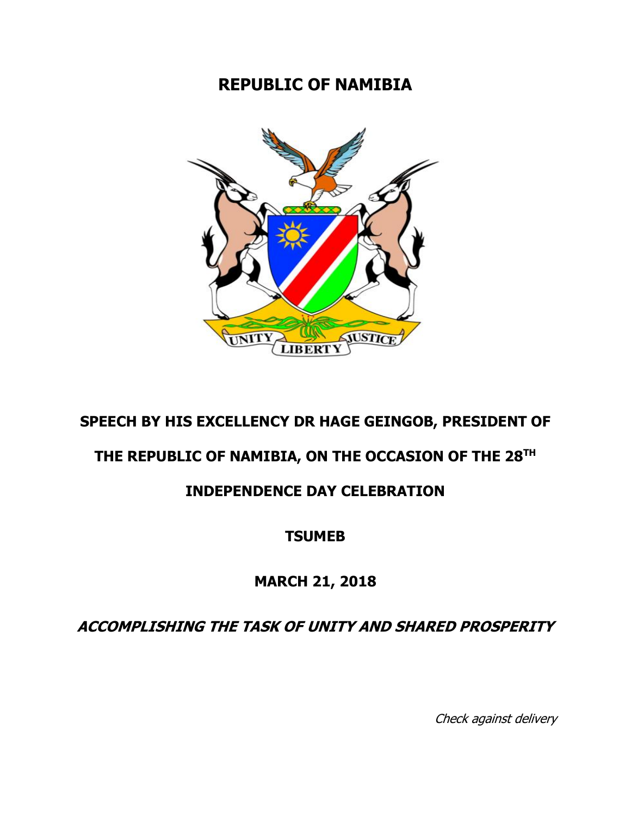## **REPUBLIC OF NAMIBIA**



## **SPEECH BY HIS EXCELLENCY DR HAGE GEINGOB, PRESIDENT OF**

### **THE REPUBLIC OF NAMIBIA, ON THE OCCASION OF THE 28 TH**

### **INDEPENDENCE DAY CELEBRATION**

#### **TSUMEB**

#### **MARCH 21, 2018**

**ACCOMPLISHING THE TASK OF UNITY AND SHARED PROSPERITY**

Check against delivery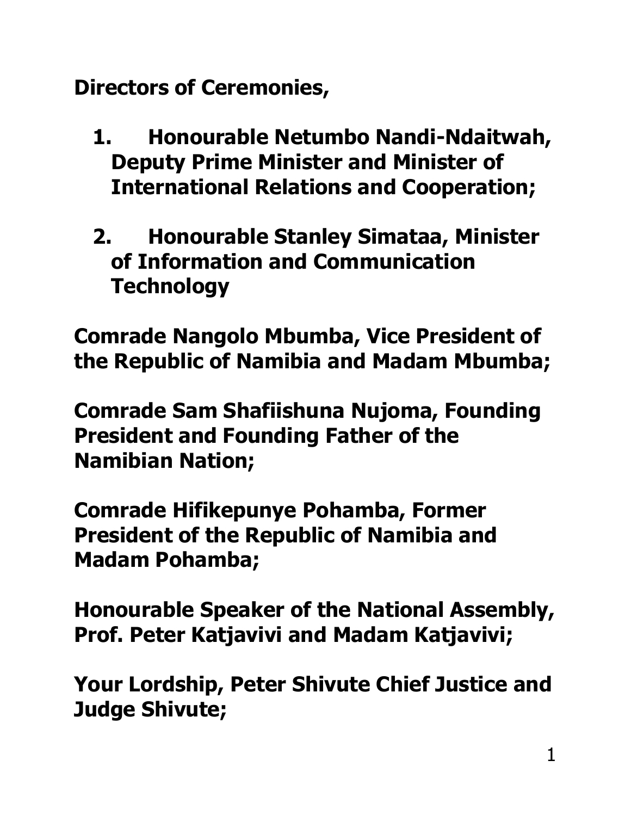**Directors of Ceremonies,** 

- **1. Honourable Netumbo Nandi-Ndaitwah, Deputy Prime Minister and Minister of International Relations and Cooperation;**
- **2. Honourable Stanley Simataa, Minister of Information and Communication Technology**

**Comrade Nangolo Mbumba, Vice President of the Republic of Namibia and Madam Mbumba;** 

**Comrade Sam Shafiishuna Nujoma, Founding President and Founding Father of the Namibian Nation;**

**Comrade Hifikepunye Pohamba, Former President of the Republic of Namibia and Madam Pohamba;**

**Honourable Speaker of the National Assembly, Prof. Peter Katjavivi and Madam Katjavivi;**

**Your Lordship, Peter Shivute Chief Justice and Judge Shivute;**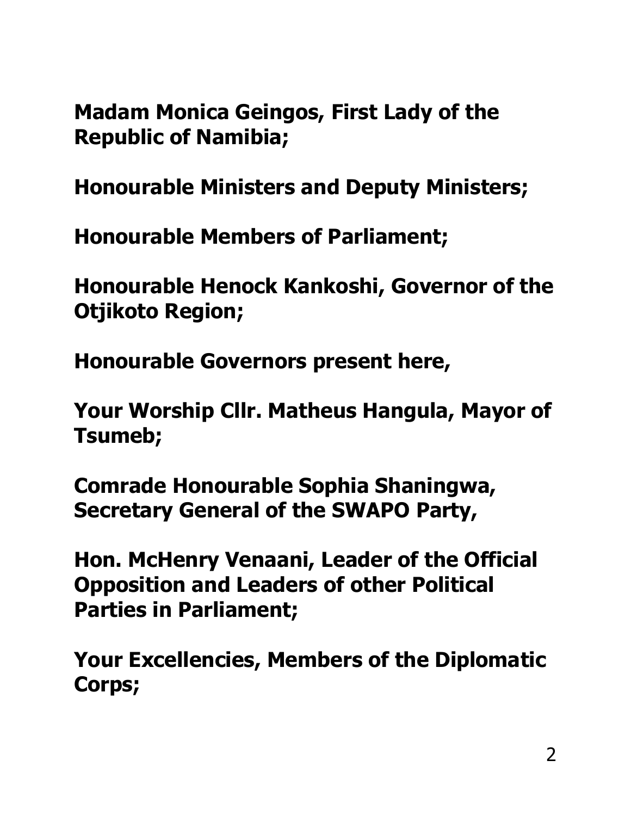**Madam Monica Geingos, First Lady of the Republic of Namibia;**

**Honourable Ministers and Deputy Ministers;** 

**Honourable Members of Parliament;**

**Honourable Henock Kankoshi, Governor of the Otjikoto Region;**

**Honourable Governors present here,** 

**Your Worship Cllr. Matheus Hangula, Mayor of Tsumeb;** 

**Comrade Honourable Sophia Shaningwa, Secretary General of the SWAPO Party,** 

**Hon. McHenry Venaani, Leader of the Official Opposition and Leaders of other Political Parties in Parliament;** 

**Your Excellencies, Members of the Diplomatic Corps;**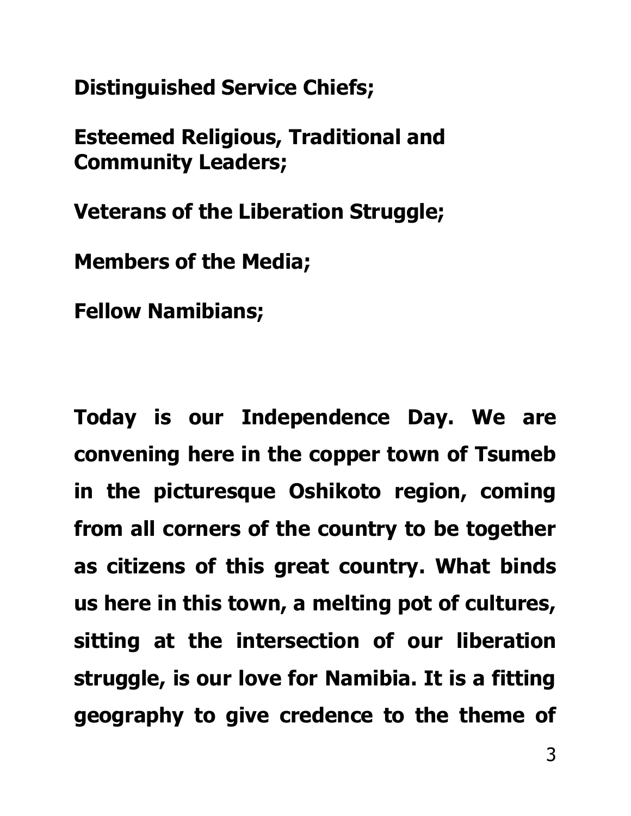**Distinguished Service Chiefs;** 

**Esteemed Religious, Traditional and Community Leaders;** 

**Veterans of the Liberation Struggle;**

**Members of the Media;** 

**Fellow Namibians;**

**Today is our Independence Day. We are convening here in the copper town of Tsumeb in the picturesque Oshikoto region, coming from all corners of the country to be together as citizens of this great country. What binds us here in this town, a melting pot of cultures, sitting at the intersection of our liberation struggle, is our love for Namibia. It is a fitting geography to give credence to the theme of**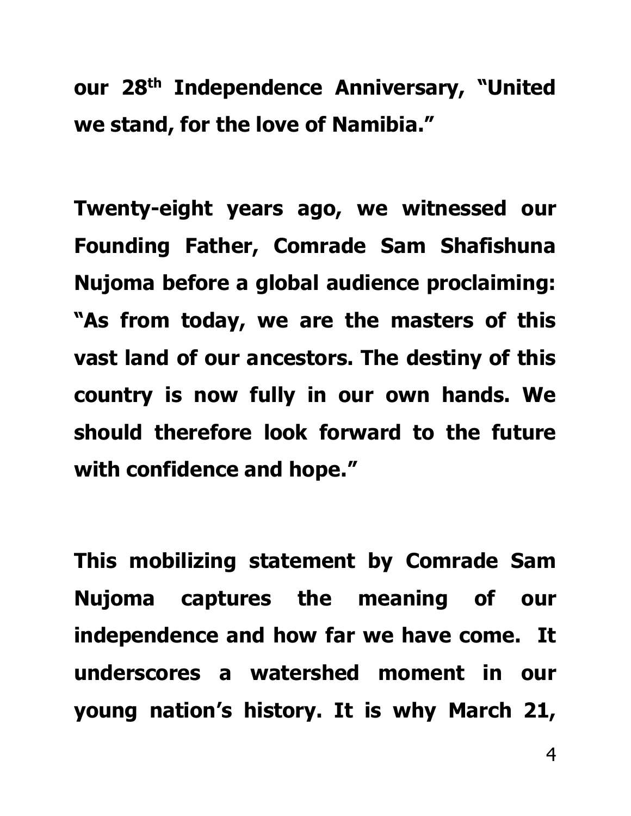**our 28th Independence Anniversary, "United we stand, for the love of Namibia."**

**Twenty-eight years ago, we witnessed our Founding Father, Comrade Sam Shafishuna Nujoma before a global audience proclaiming: "As from today, we are the masters of this vast land of our ancestors. The destiny of this country is now fully in our own hands. We should therefore look forward to the future with confidence and hope."**

**This mobilizing statement by Comrade Sam Nujoma captures the meaning of our independence and how far we have come. It underscores a watershed moment in our young nation's history. It is why March 21,**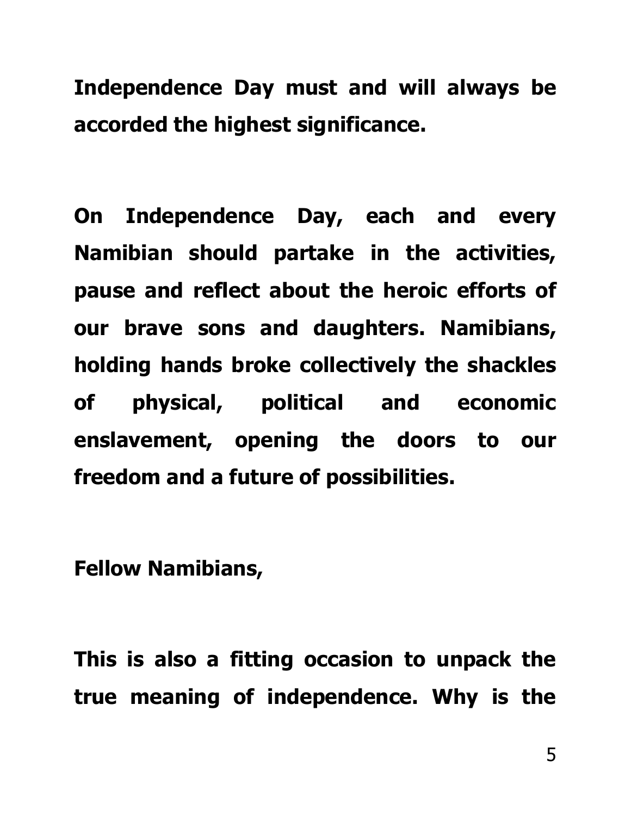**Independence Day must and will always be accorded the highest significance.** 

**On Independence Day, each and every Namibian should partake in the activities, pause and reflect about the heroic efforts of our brave sons and daughters. Namibians, holding hands broke collectively the shackles of physical, political and economic enslavement, opening the doors to our freedom and a future of possibilities.** 

**Fellow Namibians,**

**This is also a fitting occasion to unpack the true meaning of independence. Why is the**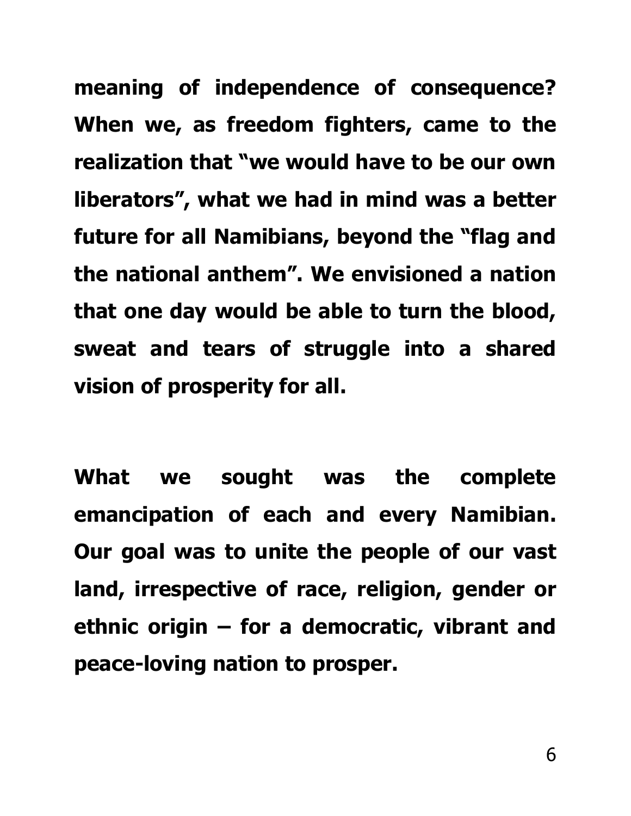**meaning of independence of consequence? When we, as freedom fighters, came to the realization that "we would have to be our own liberators" , what we had in mind was a better future for all Namibians, beyond the "flag and the national anthem". We envisioned a nation that one day would be able to turn the blood, sweat and tears of struggle into a shared vision of prosperity for all.**

**What we sought was the complete emancipation of each and every Namibian. Our goal was to unite the people of our vast land, irrespective of race, religion, gender or ethnic origin – for a democratic, vibrant and peace-loving nation to prosper.**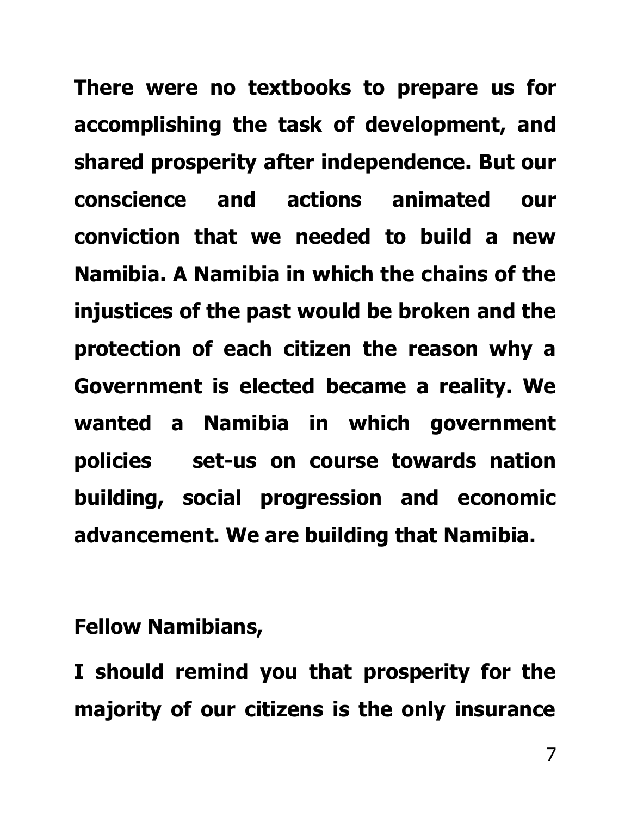**There were no textbooks to prepare us for accomplishing the task of development, and shared prosperity after independence. But our conscience and actions animated our conviction that we needed to build a new Namibia. A Namibia in which the chains of the injustices of the past would be broken and the protection of each citizen the reason why a Government is elected became a reality. We wanted a Namibia in which government policies set-us on course towards nation building, social progression and economic advancement. We are building that Namibia.**

**Fellow Namibians,**

**I should remind you that prosperity for the majority of our citizens is the only insurance**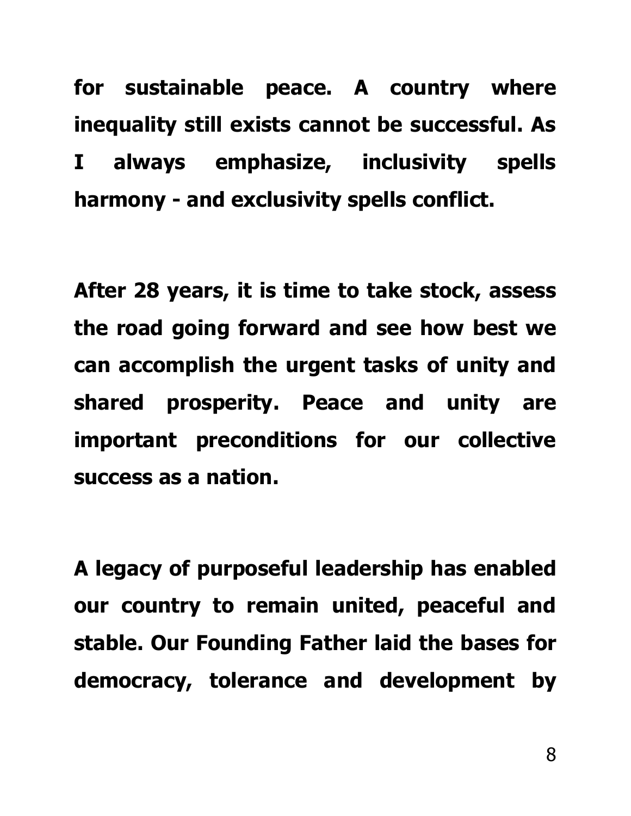**for sustainable peace. A country where inequality still exists cannot be successful. As I always emphasize, inclusivity spells harmony - and exclusivity spells conflict.**

**After 28 years, it is time to take stock, assess the road going forward and see how best we can accomplish the urgent tasks of unity and shared prosperity. Peace and unity are important preconditions for our collective success as a nation.** 

**A legacy of purposeful leadership has enabled our country to remain united, peaceful and stable. Our Founding Father laid the bases for democracy, tolerance and development by**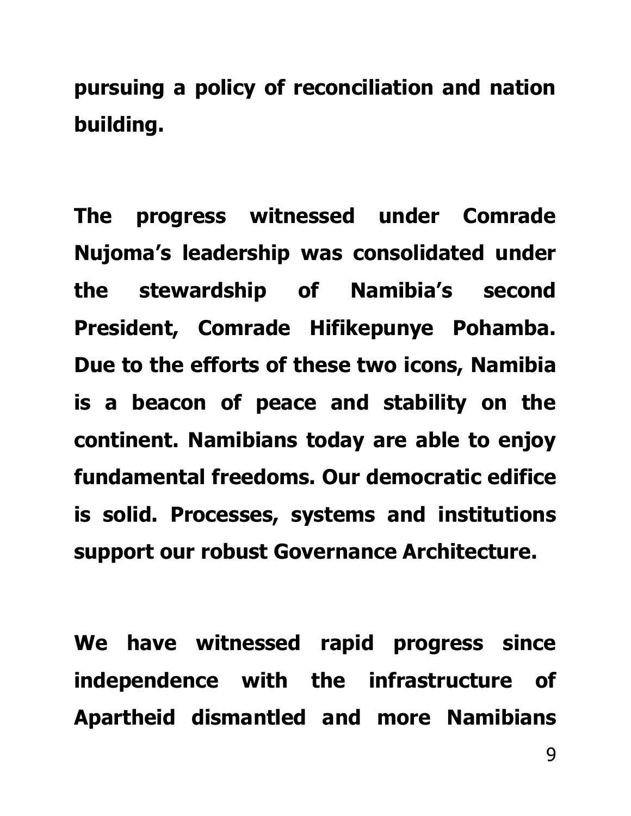**pursuing a policy of reconciliation and nation building.** 

**The progress witnessed under Comrade Nujoma's leadership was consolidated under the stewardship of Namibia's second President, Comrade Hifikepunye Pohamba. Due to the efforts of these two icons, Namibia is a beacon of peace and stability on the continent. Namibians today are able to enjoy fundamental freedoms. Our democratic edifice is solid. Processes, systems and institutions support our robust Governance Architecture.**

**We have witnessed rapid progress since independence with the infrastructure of Apartheid dismantled and more Namibians**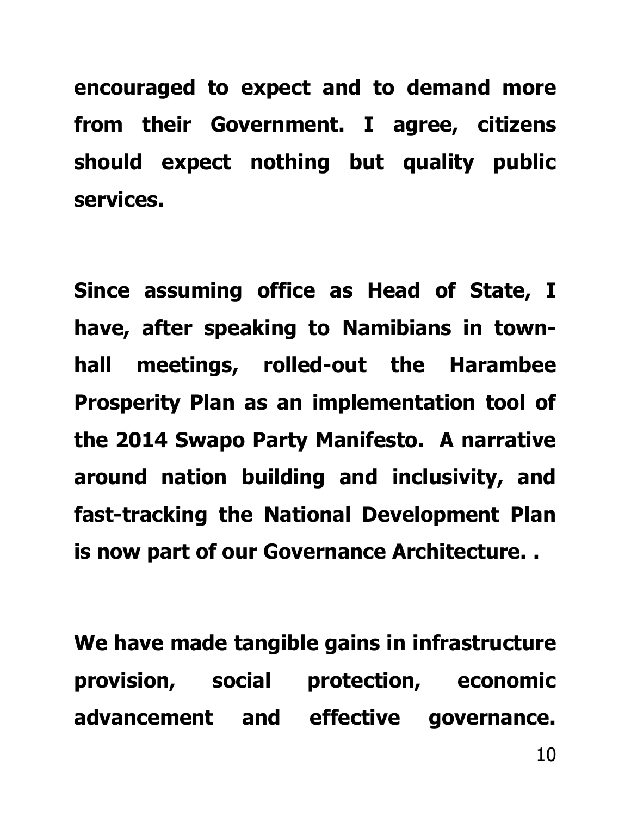**encouraged to expect and to demand more from their Government. I agree, citizens should expect nothing but quality public services.** 

**Since assuming office as Head of State, I have, after speaking to Namibians in townhall meetings, rolled-out the Harambee Prosperity Plan as an implementation tool of the 2014 Swapo Party Manifesto. A narrative around nation building and inclusivity, and fast-tracking the National Development Plan is now part of our Governance Architecture. .**

**We have made tangible gains in infrastructure provision, social protection, economic advancement and effective governance.**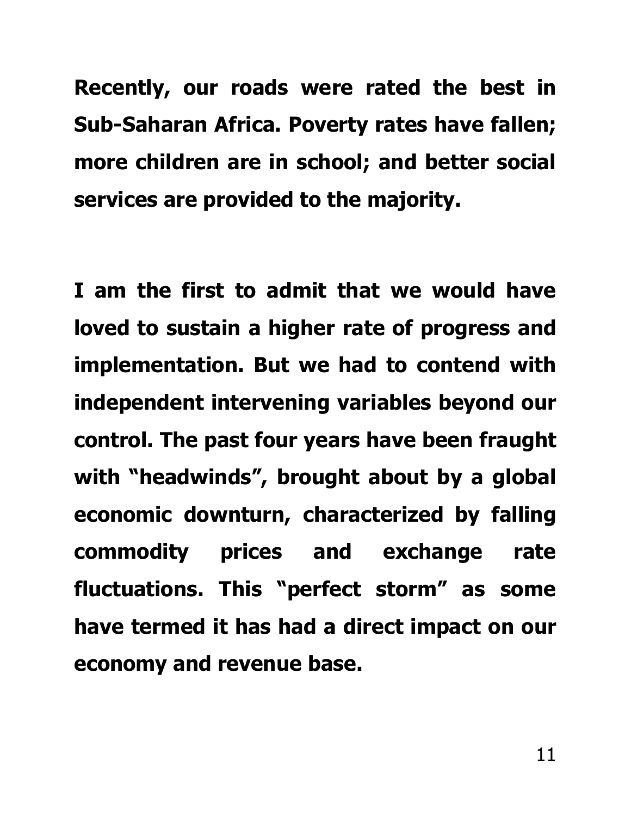**Recently, our roads were rated the best in Sub-Saharan Africa. Poverty rates have fallen; more children are in school; and better social services are provided to the majority.**

**I am the first to admit that we would have loved to sustain a higher rate of progress and implementation. But we had to contend with independent intervening variables beyond our control. The past four years have been fraught with "headwinds", brought about by a global economic downturn, characterized by falling commodity prices and exchange rate fluctuations. This "perfect storm" as some have termed it has had a direct impact on our economy and revenue base.**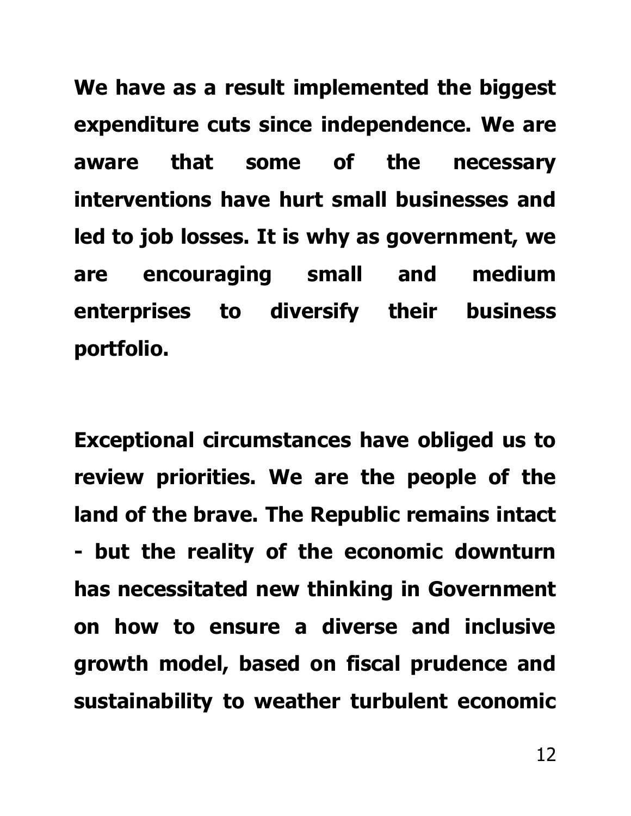**We have as a result implemented the biggest expenditure cuts since independence. We are aware that some of the necessary interventions have hurt small businesses and led to job losses. It is why as government, we are encouraging small and medium enterprises to diversify their business portfolio.**

**Exceptional circumstances have obliged us to review priorities. We are the people of the land of the brave. The Republic remains intact - but the reality of the economic downturn has necessitated new thinking in Government on how to ensure a diverse and inclusive growth model, based on fiscal prudence and sustainability to weather turbulent economic**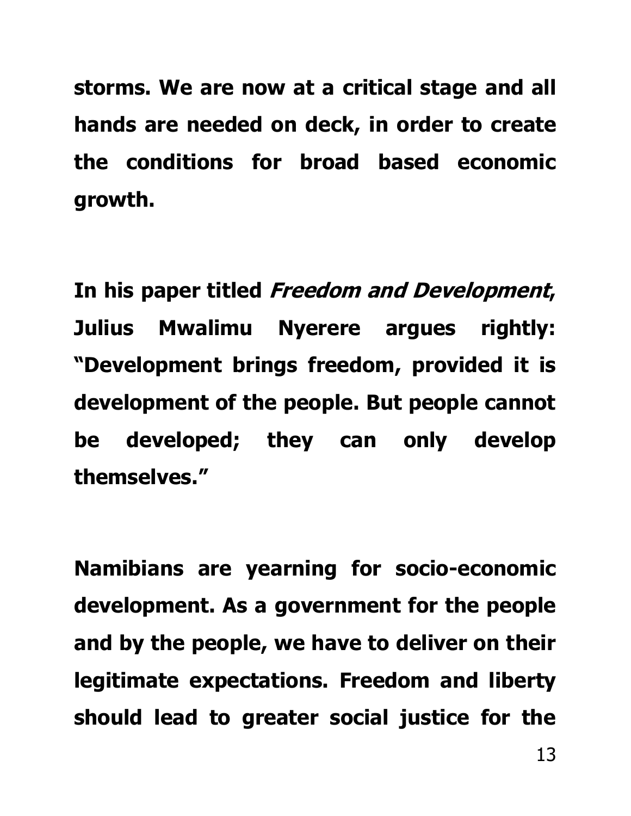**storms. We are now at a critical stage and all hands are needed on deck, in order to create the conditions for broad based economic growth.**

**In his paper titled Freedom and Development, Julius Mwalimu Nyerere argues rightly: "Development brings freedom, provided it is development of the people. But people cannot be developed; they can only develop themselves."** 

**Namibians are yearning for socio-economic development. As a government for the people and by the people, we have to deliver on their legitimate expectations. Freedom and liberty should lead to greater social justice for the**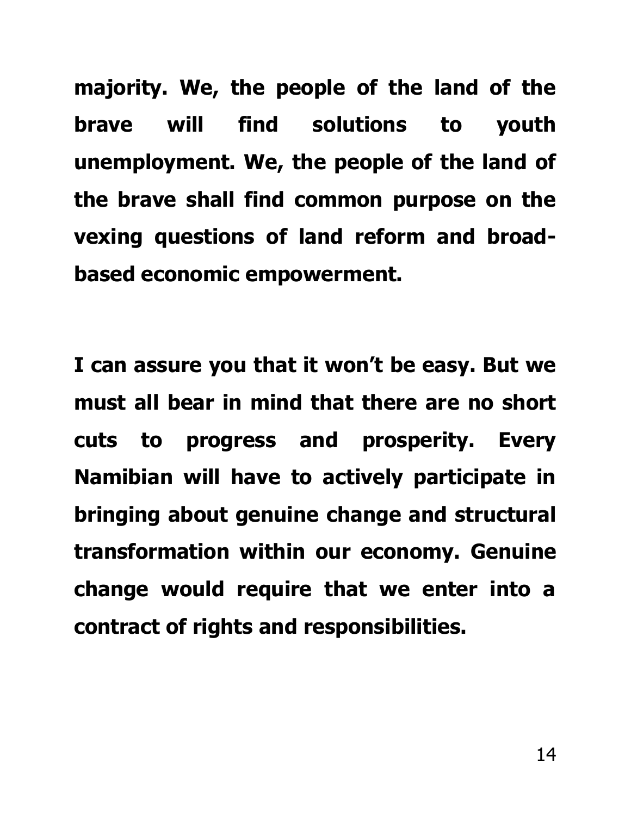**majority. We, the people of the land of the brave will find solutions to youth unemployment. We, the people of the land of the brave shall find common purpose on the vexing questions of land reform and broadbased economic empowerment.** 

**I can assure you that it won't be easy. But we must all bear in mind that there are no short cuts to progress and prosperity. Every Namibian will have to actively participate in bringing about genuine change and structural transformation within our economy. Genuine change would require that we enter into a contract of rights and responsibilities.**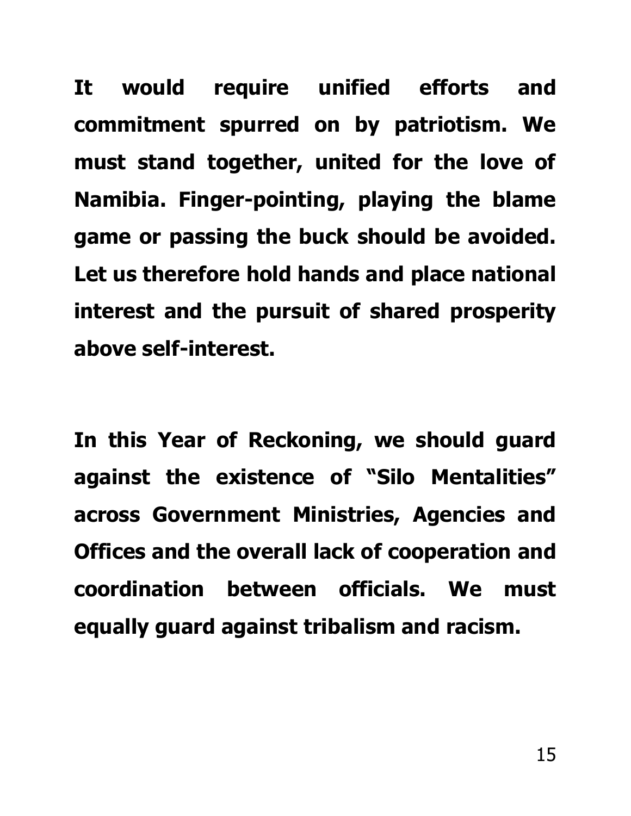**It would require unified efforts and commitment spurred on by patriotism. We must stand together, united for the love of Namibia. Finger-pointing, playing the blame game or passing the buck should be avoided. Let us therefore hold hands and place national interest and the pursuit of shared prosperity above self-interest.**

**In this Year of Reckoning, we should guard against the existence of "Silo Mentalities" across Government Ministries, Agencies and Offices and the overall lack of cooperation and coordination between officials. We must equally guard against tribalism and racism.**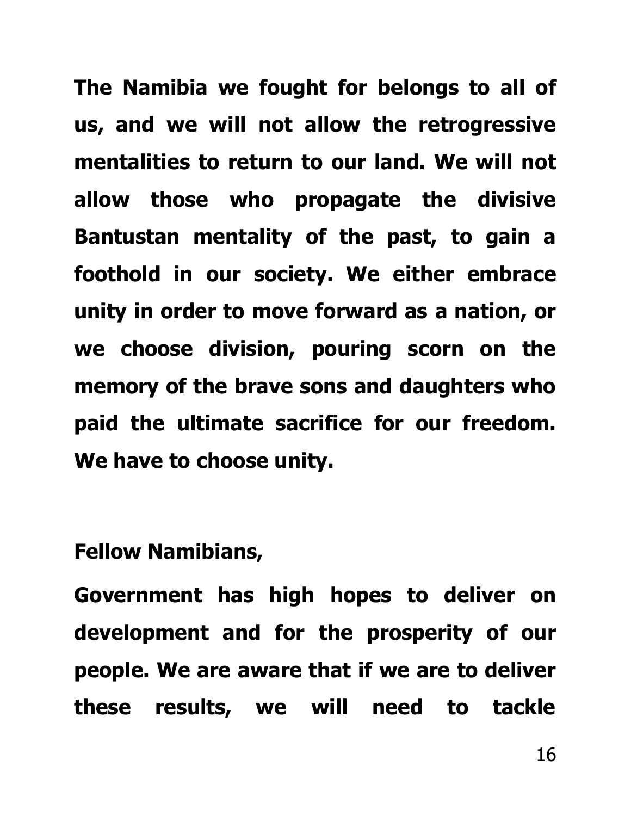**The Namibia we fought for belongs to all of us, and we will not allow the retrogressive mentalities to return to our land. We will not allow those who propagate the divisive Bantustan mentality of the past, to gain a foothold in our society. We either embrace unity in order to move forward as a nation, or we choose division, pouring scorn on the memory of the brave sons and daughters who paid the ultimate sacrifice for our freedom. We have to choose unity.**

# **Fellow Namibians,**

**Government has high hopes to deliver on development and for the prosperity of our people. We are aware that if we are to deliver these results, we will need to tackle**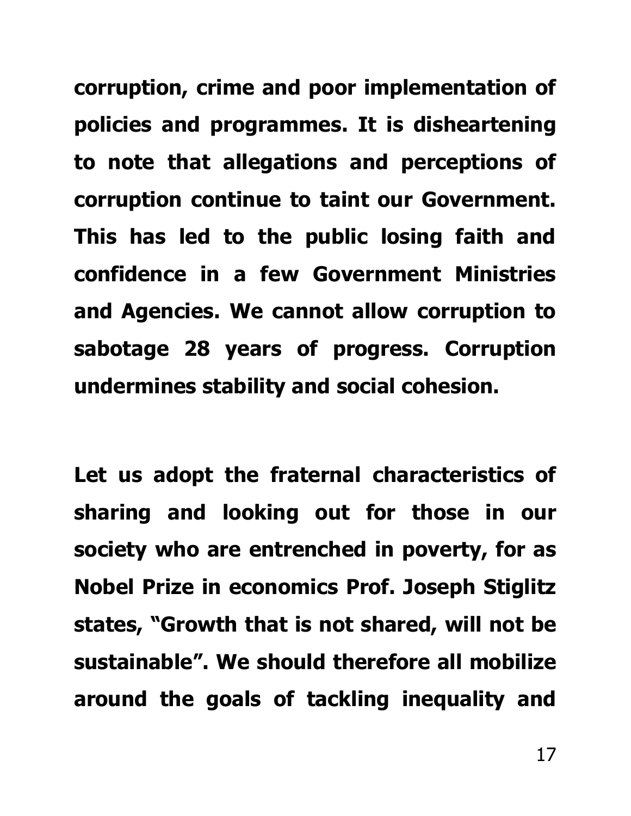**corruption, crime and poor implementation of policies and programmes. It is disheartening to note that allegations and perceptions of corruption continue to taint our Government. This has led to the public losing faith and confidence in a few Government Ministries and Agencies. We cannot allow corruption to sabotage 28 years of progress. Corruption undermines stability and social cohesion.**

**Let us adopt the fraternal characteristics of sharing and looking out for those in our society who are entrenched in poverty, for as Nobel Prize in economics Prof. Joseph Stiglitz states, "Growth that is not shared, will not be sustainable". We should therefore all mobilize around the goals of tackling inequality and**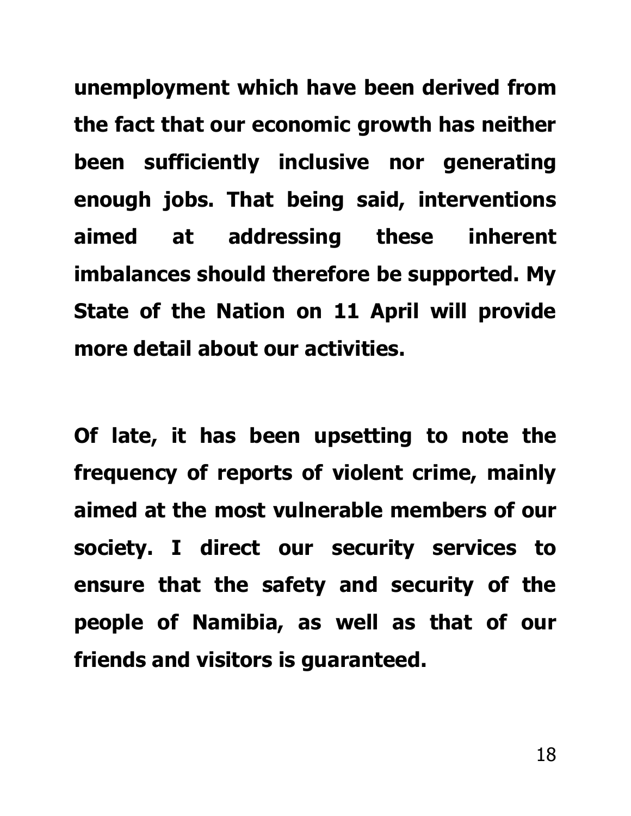**unemployment which have been derived from the fact that our economic growth has neither been sufficiently inclusive nor generating enough jobs. That being said, interventions aimed at addressing these inherent imbalances should therefore be supported. My State of the Nation on 11 April will provide more detail about our activities.**

**Of late, it has been upsetting to note the frequency of reports of violent crime, mainly aimed at the most vulnerable members of our society. I direct our security services to ensure that the safety and security of the people of Namibia, as well as that of our friends and visitors is guaranteed.**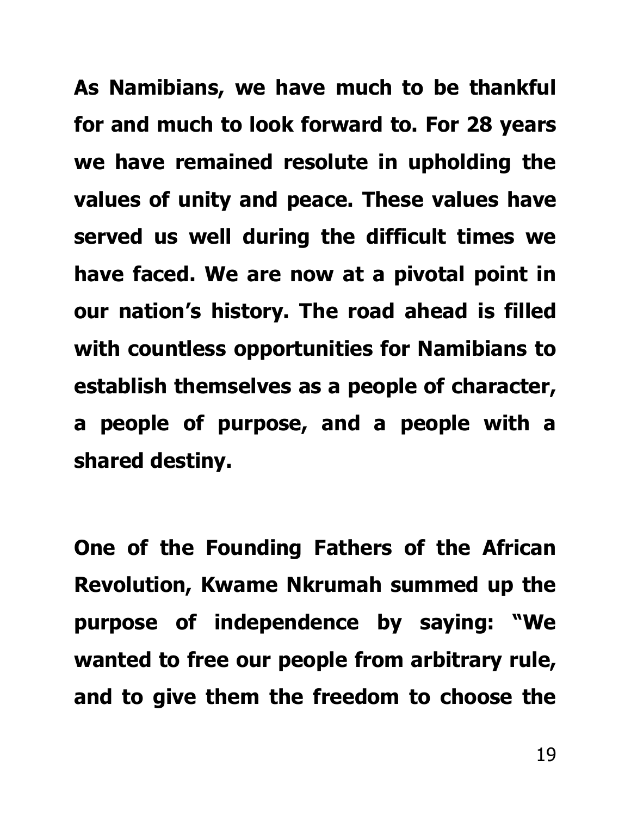**As Namibians, we have much to be thankful for and much to look forward to. For 28 years we have remained resolute in upholding the values of unity and peace. These values have served us well during the difficult times we have faced. We are now at a pivotal point in our nation's history. The road ahead is filled with countless opportunities for Namibians to establish themselves as a people of character, a people of purpose, and a people with a shared destiny.**

**One of the Founding Fathers of the African Revolution, Kwame Nkrumah summed up the purpose of independence by saying: "We wanted to free our people from arbitrary rule, and to give them the freedom to choose the**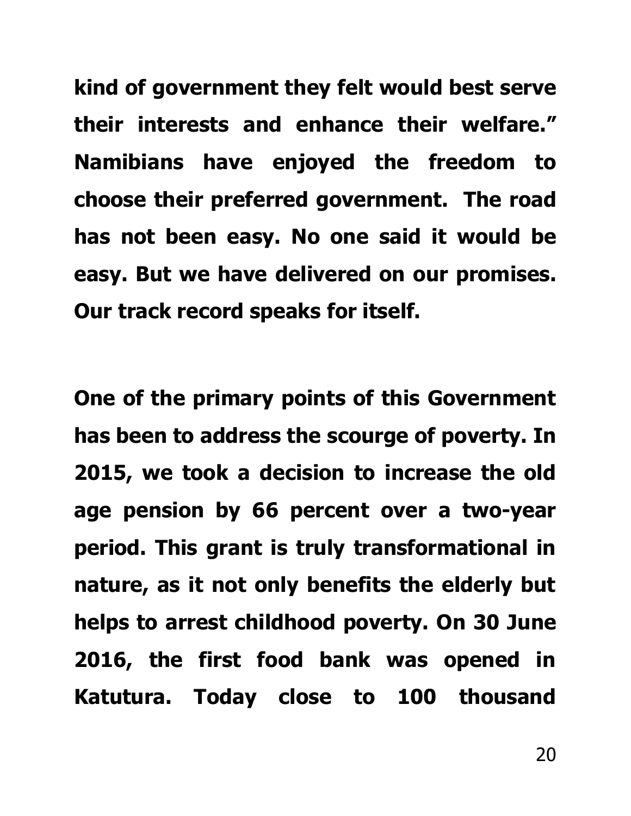**kind of government they felt would best serve their interests and enhance their welfare." Namibians have enjoyed the freedom to choose their preferred government. The road has not been easy. No one said it would be easy. But we have delivered on our promises. Our track record speaks for itself.**

**One of the primary points of this Government has been to address the scourge of poverty. In 2015, we took a decision to increase the old age pension by 66 percent over a two-year period. This grant is truly transformational in nature, as it not only benefits the elderly but helps to arrest childhood poverty. On 30 June 2016, the first food bank was opened in Katutura. Today close to 100 thousand**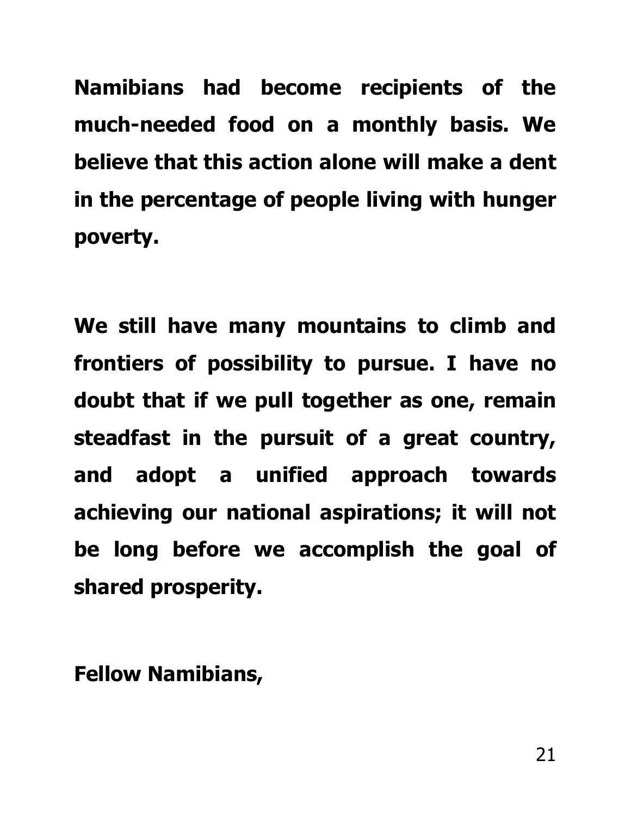**Namibians had become recipients of the much-needed food on a monthly basis. We believe that this action alone will make a dent in the percentage of people living with hunger poverty.**

**We still have many mountains to climb and frontiers of possibility to pursue. I have no doubt that if we pull together as one, remain steadfast in the pursuit of a great country, and adopt a unified approach towards achieving our national aspirations; it will not be long before we accomplish the goal of shared prosperity.**

**Fellow Namibians,**